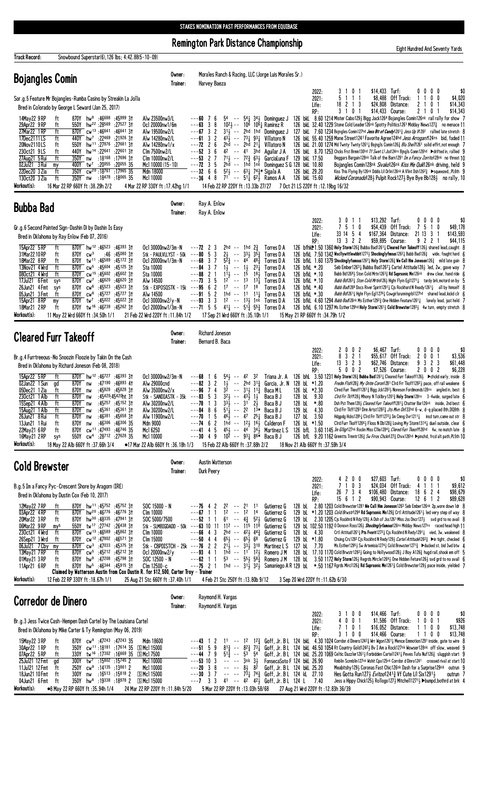Remington Park Distance Championship

Eight Hundred And Seventy Yards

| <b>Track Record:</b><br>Snowbound Superstar(6), 126 lbs; 4:42.88(5-10-09)                                                                                                                                                                                                                                                                                                                                                                                                                                                                                                                                                                                                                                                                                                                                                                                                                                                                       |                                                                                                                                                                                                               |                                                                                                                                                                                                                                                                                                                                                                                                                                                                                                                                                                                                                                                                                                                                                                                                                                                                                                                                                                                                                                                                                                                                                                                                                                                                                                                                                                                                                                                                                                                                                                                                                                                                                                                                                                                                                                                                                                                                                                                                                                                                                                                                                                                    |                                          |
|-------------------------------------------------------------------------------------------------------------------------------------------------------------------------------------------------------------------------------------------------------------------------------------------------------------------------------------------------------------------------------------------------------------------------------------------------------------------------------------------------------------------------------------------------------------------------------------------------------------------------------------------------------------------------------------------------------------------------------------------------------------------------------------------------------------------------------------------------------------------------------------------------------------------------------------------------|---------------------------------------------------------------------------------------------------------------------------------------------------------------------------------------------------------------|------------------------------------------------------------------------------------------------------------------------------------------------------------------------------------------------------------------------------------------------------------------------------------------------------------------------------------------------------------------------------------------------------------------------------------------------------------------------------------------------------------------------------------------------------------------------------------------------------------------------------------------------------------------------------------------------------------------------------------------------------------------------------------------------------------------------------------------------------------------------------------------------------------------------------------------------------------------------------------------------------------------------------------------------------------------------------------------------------------------------------------------------------------------------------------------------------------------------------------------------------------------------------------------------------------------------------------------------------------------------------------------------------------------------------------------------------------------------------------------------------------------------------------------------------------------------------------------------------------------------------------------------------------------------------------------------------------------------------------------------------------------------------------------------------------------------------------------------------------------------------------------------------------------------------------------------------------------------------------------------------------------------------------------------------------------------------------------------------------------------------------------------------------------------------------|------------------------------------------|
| <b>Bojangles Comin</b>                                                                                                                                                                                                                                                                                                                                                                                                                                                                                                                                                                                                                                                                                                                                                                                                                                                                                                                          | Owner:<br>Trainer:                                                                                                                                                                                            | Morales Ranch & Racing, LLC (Jorge Luis Morales Sr.)<br>Harvey Baeza                                                                                                                                                                                                                                                                                                                                                                                                                                                                                                                                                                                                                                                                                                                                                                                                                                                                                                                                                                                                                                                                                                                                                                                                                                                                                                                                                                                                                                                                                                                                                                                                                                                                                                                                                                                                                                                                                                                                                                                                                                                                                                               |                                          |
| Sor.g.5 Feature Mr Bojangles-Rumba Casino by Streakin La Jolla<br>Bred in Colorado by George L Seward (Jan 25, 2017)                                                                                                                                                                                                                                                                                                                                                                                                                                                                                                                                                                                                                                                                                                                                                                                                                            |                                                                                                                                                                                                               | \$14,433 Turf:<br>3 1 0 1<br>$0\,0\,0\,0$<br>2022:<br>5 1 1 1<br>\$8,488 Off Track:<br>1100<br>2021:<br>\$24,808 Distance:<br>18 2 1 3<br>21<br>0 <sub>1</sub><br>Life:<br>3 1 0 1<br>\$14,433 Course:<br>2 1 0 1<br>RP:                                                                                                                                                                                                                                                                                                                                                                                                                                                                                                                                                                                                                                                                                                                                                                                                                                                                                                                                                                                                                                                                                                                                                                                                                                                                                                                                                                                                                                                                                                                                                                                                                                                                                                                                                                                                                                                                                                                                                           | \$(<br>\$4,020<br>\$14,343<br>\$14,343   |
| 870Y hw <sup>9</sup> :46688 :45999 31<br>14May22 9 RP<br>ft<br>29Apr22 9RP<br>550Y hw <sup>22</sup> :28569 :27527 31<br>ft<br>870Y cw <sup>13</sup> :46641:4664131<br>27Mar22 1 RP<br>ft<br>17Dec2111LS<br>ft<br>440Y hw <sup>7</sup> :22469 :21926 31<br>20Nov2110LS<br>550Y hw <sup>11</sup> :27876 :27681 31<br>ft<br>440Y hw <sup>14</sup> :22641 :22601 3t<br>230ct21 9LS<br>ft<br>27Aug21 5 Rui<br>:18 <sup>168</sup> :17 <sup>696</sup> 3†<br>ft<br>350Y nw<br>02Jul21 3 Rui<br>400Y tw <sup>7</sup> :20 <sup>055</sup> :20 <sup>055</sup> 35<br>my<br>22Dec20 3 Zia<br>350Y cw <sup>20</sup> :18761 :17965 35<br>ft<br>350Y nw :18478 :18065 35<br>130ct20 3 Zia<br>ft<br>Workout(s):<br>16 Mar 22 RP 660Y ft:38.29h 2/2                                                                                                                                                                                                                | Alw 23500nw3/L<br>Ocl 20000nw1/6m<br>Alw 19500nw2/L<br>Alw 14280nw2/L<br>Alw 14280nw1/x<br>Clm 7500nw2/L<br>Clm 10000nw2/L<br>McI 10000 (15-10)<br>Mdn 18000<br>Mc1 10000<br>4 Mar 22 RP 330Y ft: 17.42hg 1/1 | $5^4$ -- $5^4\frac{1}{4}$ $3^4\frac{1}{2}$ Dominguez J<br>126 bkl 8.60 1214 Mister Cabo1293 Bigg Jack1264 Bojangles Comin126nk rail rally for show 7<br>$---60$ 7 6<br>$10^{21}$ -- $10^{6}$ $10^{61}$ Ramirez R<br>---63<br>3<br>8<br>126 bkL 32.40 1229 Stone Cold Leader126nk Spotty Politics1261 Midday News127 <sub>3</sub> no menace 11<br>$---67$ 3 2<br>$31\frac{1}{2}$ -- 2hd 1hd Dominauez J<br>127 bkl 7.60 1234 Bojngles Comin127hd Jess Bit of Candy1261 <sup>3</sup> Jess Up 1028 <sup>2</sup> rallied late stretch {<br>$---61$ 3 2<br>$43\frac{1}{2}$ -- $73\frac{1}{4}$ 931 Villatoro N<br>126 bkl 55.40 1259 Mane Street1241 Favorite Agree124hd <i>Jess Arrogant</i> 124ns bid, faded 11<br>$---72$ 2 6<br>2hd -- 2hd $21\frac{1}{4}$ Villatoro N<br>126 bkl 21.00 1274 Md Twnty Twnty 1261 <sub>4</sub> Bojngls Comin126 <sub>4</sub> <i>Blu Shel1</i> 1261 solid effrt, not enough 7<br>$---52$ 3 6<br>$4^2$ -- $4^1$ 3hd Aguilar J A<br>126 bkL 8.70 1253 Chcks Frst Brmm130hd Tf Swet L1 Jss124ns Bjngls Comn126hd >drifted in, rallied 9<br>$---53$ 2 7<br>713 -- 723 633 GarciaLuna F 129 bkL 17.50<br>Beggars Bargain128nk Talk of the Barn1291 Im a Fancy Zorrito128nk no threat 10<br>$--72$ 3 5<br>$2h\bar{d}$ -- 1hd 1nk Dominguez S G 128 bkL 10.80<br>Bojangles Comin128nk Sivako126nk Kiss Me Quik126nk driving, held 9<br>$-$ - - 32 6 6 5 <sup>2</sup> + - 6 <sup>3</sup> + 7 <sup>4</sup> $^{3*}$ Sigala A<br>126 bkL 29.20<br>Kiss This Flying By126nk Dddis Lil Drlin126nk A Vlint Dsh1262} ▶squeezed,,PL6th 9<br>$71^{\circ}$ -- $51\frac{1}{4}$ 6 <sup>2</sup> / <sub>2</sub> Ramos A A<br>$---36$ 4 8<br>126 bkL 15.60<br><i>Wicked Coronado</i> 1284 Pulpit Rock1274 Bye Bye Bb1284 no rally, 10<br>14 Feb 22 RP 220Y ft : 13.33b 27/27<br>7 Oct 21 LS 220Y ft:12.19bg 16/32                                                                                                                                                                                                                                                                                                                                                             |                                          |
| <b>Bubba Bad</b>                                                                                                                                                                                                                                                                                                                                                                                                                                                                                                                                                                                                                                                                                                                                                                                                                                                                                                                                | Owner:<br>Trainer:                                                                                                                                                                                            | Ray A. Enlow<br>Ray A. Enlow                                                                                                                                                                                                                                                                                                                                                                                                                                                                                                                                                                                                                                                                                                                                                                                                                                                                                                                                                                                                                                                                                                                                                                                                                                                                                                                                                                                                                                                                                                                                                                                                                                                                                                                                                                                                                                                                                                                                                                                                                                                                                                                                                       |                                          |
| Gr.g.6 Second Painted Sign-Dashin Di by Dashin Is Easy<br>Bred in Oklahoma by Ray Enlow (Feb 07, 2016)                                                                                                                                                                                                                                                                                                                                                                                                                                                                                                                                                                                                                                                                                                                                                                                                                                          |                                                                                                                                                                                                               | \$13,292 Turf:<br>3 0 1 1<br>$0\,0\,0\,0$<br>2022:<br>7 5 1 0<br>\$54,439 Off Track:<br>75<br>10<br>2021:<br>33 14 5 4<br>\$167,364 Distance: 21 13 3 1<br>Life:<br>13 3 2 2<br>\$59,895 Course:<br>9 2 2 1<br>RP:                                                                                                                                                                                                                                                                                                                                                                                                                                                                                                                                                                                                                                                                                                                                                                                                                                                                                                                                                                                                                                                                                                                                                                                                                                                                                                                                                                                                                                                                                                                                                                                                                                                                                                                                                                                                                                                                                                                                                                 | \$(<br>\$49,178<br>\$143,593<br>\$44,115 |
| 870Y hw <sup>12</sup> :46523 :46393 31<br>15Apr22 5 RP<br>ft<br>31Mar2210RP<br>$:46$ $:45^{080}$ 3t<br>870Y $cw^3$<br>ft<br>18Mar22 8RP<br>870Y tw <sup>11</sup> :46 <sup>589</sup> :45172 31<br>ft<br>13Nov21 4 Wrd<br>ft<br>870Y cw <sup>5</sup> :45 <sup>604</sup> :45125 31<br>870Y cw <sup>15</sup> :45602:4560231<br>080ct21 4 Wrd<br>ft<br>17Jul21 6 Fmt<br>870Y $cw^7$ :46620 :46620 31<br>sys<br>26Jun21 4 Fmt<br>870Y cw <sup>6</sup><br>:45523 :45523 31<br>sys<br>05Jun21 3 Fmt<br>ft<br>:45727 :45727 3†<br>870Y $cw^8$<br>15Apr21 8RP<br>870Y tw <sup>7</sup><br>:45022 :45022 31<br>my<br>18Mar21 2RP<br>870Y tw <sup>16</sup> :46 <sup>239</sup> :45 <sup>262</sup> 31<br>ft                                                                                                                                                                                                                                                    | Ocl 30000nw2/3m-N<br>Stk - PAULVLLYST - 50k<br>Oc1 20000nw1/3m-N<br>Sta 10000<br>Sta 10000<br>Alw 14500<br>Stk - EXPOSQSTK - 15 $k$ ---95 6<br>Alw 14500<br>Ocl 30000nw2/y-N<br>Ocl 20000nw1/3m-N             | 126 bfhkl*1.50 1360 Holy Storm1263 Bubba Bad12611 Cleared Furr Takeoff1261 shared lead, caught {<br>2hd -- 1hd $2\frac{3}{4}$<br>$---72$ 2 3<br>Torres D A<br>3<br>$---80$ 5<br>$33\frac{1}{2}$ $35\frac{3}{4}$<br>$2\frac{1}{2}$ --<br>126 bfkL 7.50 1342 Wscllywittlewbbit12733 Shockinglyfmous1262 $\frac{1}{4}$ Bubb Bad126 $\frac{3}{4}$ wide, fought hard 6<br>Torres D A<br>$5\overline{2}$ $\overline{4}$ -- $44$ $48\overline{4}$<br>$--68$ 3 7<br>Torres D A<br>126 bfkL 1.60 1379 Shockinglyfamous1267 $\frac{1}{4}$ Holy Storm126 $\frac{3}{4}$ We Call Him Joneson126 $\frac{3}{4}$ mild late gain {<br>$---84$ 3 7<br>$1\frac{1}{2}$ -- $1\frac{1}{2}$<br>2 <sup>31</sup><br>126 bfkL *.20<br>Torres D A<br>Seb Ember12631 Bubba Bad12671 Cartel Attitude1281 led, 2w, gave way 7<br>15<br>$---88221$<br>$11\frac{1}{2}$<br>$\sim$ $\sim$<br>181<br>126 bfkL *.10<br>Torres D A<br>Bubb Bd1268 } Ston Cold Mrtn1263 } Rd Suprsonic Mn126nk drew clear, hand ride (<br>$12^{-}$ -- 13<br>$---73$ 3 5<br>$13\overline{1}$<br>Torres D A<br>126 bfkL *.10<br>Bubb Bd\263} Ston Cold Mrtin/\26} Highr Flyin Eg11271} tardy brk, motord on by<br>$\overline{2}$<br>$17 - - 17$<br>18<br>Torres D A<br>126 bfkL *.40<br>Bubb Bad 268 Docs River Spirit 12911 Cjs Rockhard N Ready 12611 all by himself {<br>$---91 5 2$<br>1hd -- 11 11} Torres D A<br>126 bfkL *.30<br>Bubb Bdl 2611 Hghr Flyn Eg112761 Cowgirlsrunningrbl127hd shared lead, kickd clr {<br>$---93$ 3 3<br>12 $-$ 131 1nk Torres D A<br>126 bfkl 4.60 1294 Bubb Bad126nk Ms Esther12923 One Hidden Feature12611 lonely lead, just held 7<br>---71 5 5 41 $\frac{1}{4}$ -- 51 $\frac{3}{4}$ 55 $\frac{3}{4}$ Torres D A<br>126 bfkL 6.10 1297 Ms Esther 129hd Holy Storm 1261 <sub>2</sub> Cold Brewster 1283 <sub>2</sub> 4w turn, empty stretch 8                                                                                                                                                                                                                                                                                                                                                        |                                          |
| Workout(s):<br>11 May 22 Wrd 660Y ft :34.50h 1/1                                                                                                                                                                                                                                                                                                                                                                                                                                                                                                                                                                                                                                                                                                                                                                                                                                                                                                | 21 Feb 22 Wrd 220Y ft: 11.84h 1/2                                                                                                                                                                             | 17 Sep 21 Wrd 660Y ft :35.10h 1/1<br>15 May 21 RP 660Y ft: 34.79h 1/2                                                                                                                                                                                                                                                                                                                                                                                                                                                                                                                                                                                                                                                                                                                                                                                                                                                                                                                                                                                                                                                                                                                                                                                                                                                                                                                                                                                                                                                                                                                                                                                                                                                                                                                                                                                                                                                                                                                                                                                                                                                                                                              |                                          |
| <b>Cleared Furr Takeoff</b>                                                                                                                                                                                                                                                                                                                                                                                                                                                                                                                                                                                                                                                                                                                                                                                                                                                                                                                     | Owner:<br>Trainer:                                                                                                                                                                                            | Richard Joneson<br>Bernard B. Baca<br>\$6,467 Turf:<br>2002<br>$0\,0\,0\,0$<br>2022:                                                                                                                                                                                                                                                                                                                                                                                                                                                                                                                                                                                                                                                                                                                                                                                                                                                                                                                                                                                                                                                                                                                                                                                                                                                                                                                                                                                                                                                                                                                                                                                                                                                                                                                                                                                                                                                                                                                                                                                                                                                                                               | \$(                                      |
| Br.g.4 Furrtreeous-No Snoozin Floozie by Takin On the Cash<br>Bred in Oklahoma by Richard Joneson (Feb 08, 2018)<br>870Y hw <sup>12</sup> :46727 :46393 3t<br>15Apr22 5 RP<br>ft<br>02Jan22 1 Sun<br>870Y nw<br>:47190 :46893 41<br>gd<br>:45828 :45828 3†<br>05Dec21 1 Zia<br>ft<br>870Y nw<br>230ct21 1 Alb<br>ft<br>:45420:45420ht 3†<br>870Y nw<br>ft<br>870Y nw :45257 :45152 31<br>15Sep21 4 Alb<br>ft<br>:45361 :45361 3†<br>15Aug21 1 Alb<br>870Y nw<br>$:46381$ $:45658$ 31<br>26Jun21 8 Rui<br>ft<br>870Y nw<br>13Jun21 1 Rui<br>$:46306$ $:46306$ 35<br>ft<br>870Y nw<br>870Y cw <sup>11</sup> :47493 :46746 35<br>22May21 6RP<br>ft<br>16May 21 2 RP<br>550Y<br>$\mathsf{cw}^4$<br>:28712 :27628 35<br>sys<br>Workout(s):<br>18 May 22 Alb 660Y ft: 37.66h 3/4                                                                                                                                                                      | Ocl 30000nw2/3m-N<br>Alw 29000cnd<br>Alw 35000nw2/x<br>Stk - SANDIASTK - $35k$ --- $83$ 5 3<br>Alw 30200nw2/L<br>Alw 30200nw2/L<br>Alw 11900nw2/L<br>Mdn 9000<br>Mc1 6250<br>Mc1 10000                        | 8 3 2 1<br>\$55.617 Off Track:<br>2 0 0 1<br>2021:<br>13    3    2    3<br>\$62,746 Distance:<br>3 2 3<br>9<br>Life:<br>5 0 0 2<br>\$7,526 Course:<br>2002<br>RP:<br>$54\frac{1}{2}$ -- 42 32<br>Triana Jr. A<br>126 bhL 3.50 1231 Holy Storm126½ Bubba Bad1261½ Cleared Furr Takeoff126½ ▶ chckd early, inside {<br>---68 1<br>6<br>$---82$ 3 2<br>1 <sup>1</sup> / <sub>2</sub> -- 2hd 3 <sup>1</sup> / <sub>4</sub> Garcia, Jr. N 128 bl *1.20<br>Fredm Flsh1283 My Ontm Coron1281 Cird Frr Tkoff12821 pace, off rail weakene f<br>$3^{\overline{2}}$ -- $3^{1\overline{3}}$ $1^{1\overline{3}}$ Baca M L<br>$--96$ 74<br>126 bL *2.30<br>CIred Furr Tkeoff12613 Bigg Jck12823 Noreson Fordimonds128ns angled in, best {<br>$32\frac{1}{2}$ -- $43\frac{1}{2}$ $1\frac{1}{2}$<br>Baca B J<br>128 bL 9.30<br>Cird Frr Tkff128} Mhony N Tcklbry12813 Holy Storm128ns 3-4wide, surged late (<br>$---78$ 1 3 $33\frac{1}{2}$ $---31$ $2\frac{1}{2}$ Baca B J<br>Dsh Pst Them1283 Cleared Furr Takeoff12813 Chatter Bar126nk inside, 2nd best (<br>128 bL *.80<br>$---84$ 8 6<br>$5^{11}$ -- 2 <sup>2</sup> 1 <sup>3*</sup> Baca B J<br>129 bL 4.30<br>Cird Frr Tkff1293 Drm Artst1282 $\frac{3}{4}$ Jts Mvn On133hd 6-w, d-q placed 8th, DQ8th {<br>-5<br>$46\frac{1}{2}$ -- $47$ $25\frac{1}{4}$ Baca B J<br>127 bL 3.50<br>Hdgpdg Hcks12851 Cird Frr Tkff12721 Im Cmng Ovr12111 insd turn, came out str<br>---70<br>$\overline{1}$<br>$---74$ 6 2<br>1hd $-$ 1 <sup>2</sup> 1 <sup>6</sup> 1 <sup>6</sup> Calderon F<br>126 bL $*1.50$<br>Cird Furr Tkoff12661 Floss N Db128 $\frac{3}{4}$ Loving My Storm13141 duel outside, clear (<br>-5<br>$45\frac{1}{2}$ -- $44\frac{1}{2}$ 34 $\frac{1}{2}$ Martinez L S<br>126 bfL 3.60 1145 Im Giligr127nk Rockn Miss Cllie12841 Clered Furr Tkeoff126hd 4w, no match late {<br>$---414$<br>$10^{\overline{2}}$ -- $93\frac{1}{4}$ $86\overline{*}$ Baca B J<br>$---30$ 4 9<br>126 bfL 9.20 1162 Grmmtts Trmntr1263 Sw Frros Chckn1273 Chvx126hd ▶pinchd, frcd alt path, PL5th 10<br>●17 Mar 22 Alb 660Y ft: 36.18h 1/3 15 Feb 22 Alb 660Y ft: 37.88h 2/2<br>18 Nov 21 Alb 660Y ft: 37.59h 3/4                                           | \$3,536<br>\$61,448<br>\$6,228           |
| <b>Cold Brewster</b>                                                                                                                                                                                                                                                                                                                                                                                                                                                                                                                                                                                                                                                                                                                                                                                                                                                                                                                            | Owner:<br>Trainer:                                                                                                                                                                                            | Austin Watterson<br>Durk Peerv                                                                                                                                                                                                                                                                                                                                                                                                                                                                                                                                                                                                                                                                                                                                                                                                                                                                                                                                                                                                                                                                                                                                                                                                                                                                                                                                                                                                                                                                                                                                                                                                                                                                                                                                                                                                                                                                                                                                                                                                                                                                                                                                                     |                                          |
| B.g.5 Im a Fancy Pyc-Crescent Shore by Aragorn (IRE)<br>Bred in Oklahoma by Dustin Cox (Feb 10, 2017)<br>870Y hw <sup>11</sup> :45 <sup>752</sup> :45 <sup>752</sup> 31<br>12May22 7 RP<br>ft<br>03Apr22 4RP<br>870Y hw <sup>20</sup> :46776:4677631<br>ft<br>20Mar22 3 RP<br>870Y hw <sup>30</sup> :48335 :47941 31<br>ft<br>06Mar22 9RP<br>550Y tw <sup>17</sup> :27742 :26438 31<br>mys<br>870Y cw <sup>13</sup> :46589 :45862 31<br>230ct21 4 Wrd<br>ft<br>26Sep21 3 Wrd<br>870Y cw <sup>12</sup> :47802:4657131<br>ft<br>06Jul21 7 Cby<br>870Y $cw^3$ :47033 :45375 31<br>my<br>870Y cw <sup>5</sup> :45 <sup>212</sup> :45 <sup>212</sup> 31<br>13May21 7RP<br>ft<br>01May21 3 RP<br>870Y hw <sup>9</sup> :47208 :45798 31<br>ft<br>870Y hw <sup>5</sup> :46344 :45915 31<br>11Apr21 6 RP<br>ft<br>Claimed by Watterson Austin from Cox Dustin R. for \$12,500, Carter Troy - Trainer<br>Workout(s):<br>12 Feb 22 RP 330Y ft : 18.67h 1/1 | $SOC$ 15000 - N<br>Clm 10000<br>SOC 5000/7500<br>Clm 10000<br>Clm 15000<br>Ocl 20000nw2/y<br>SOC 12500 - N<br>Clm 12500-c<br>25 Aug 21 Stc 660Y ft :37.40h 1/1                                                | $0\ 0\ 0\ 0$<br>4200<br>\$27,603 Turf:<br>2022:<br>7 1 0 3<br>\$24,034 Off Track:<br>4 1 1 1<br>2021:<br>\$106,480 Distance:<br>26 7 3 4<br>18 6 2 4<br>Life:<br>RP:<br>15 6 1 2<br>\$90,943 Course:<br>$12 \t6 \t1 \t2$<br>2.80 1203 Cold Brewster1281 We Call Him Joneson1263 Seb Ember126nk 2p, wore down 1dr &<br>$---75$ 4 2<br>$2^2$ -- $2^1$<br>11<br>Gutierrez G<br>128 bL<br>$12 - -$<br>$---67$ 1 1<br>12 14<br>129 bl $*1.20$ 1203 <i>Cold Brwstr</i> 1294 <b>Rd Suprsonic Mn</b> 129 <sub>4</sub> Crtl Attitude1261 <sub>2</sub> led very step of way {<br>Gutierrez G<br>$61 - 4\frac{3}{4}$ $52\frac{1}{2}$<br>$--52$ 1 1<br>129 bl 2.30 1205 Cjs Rockhrd N Rdy 128 & A Dsh of Jss 1261 Miss Jss Dncr 127 3 svd grd to no avail<br>Gutierrez G<br>Stk - SLMBIGDADD - 50k ---63 10 11 112 -- 115 118<br>Gutierrez G<br>129 bL 102.50 1192 0 Donovn Ross1263 Shockingly famous126ns Midday News127ns raced head high 11<br>$---66$ 4 3<br>2hd -- $42\frac{1}{2}$ $44\frac{3}{4}$<br>128 bL 4.30<br>Crtl Attitud1261 $\frac{1}{4}$ Pts Fvorit1272 $\frac{1}{4}$ Cjs Rockhrd N Redy1291 $\frac{1}{4}$ vied, 3w, weakened {<br>Gutierrez G<br>$---50$ 4 4<br>$65\frac{1}{2}$ -- $65\frac{1}{2}$ $68$<br>Gutierrez G<br>129 bL *1.80<br>Chsing Crs128 <sup>2</sup> Cjs Rockhrd N Redy129 <i>} Cartel Attitude</i> 126 <sup>2</sup> <sup>3</sup> ▶in tight, checked {<br>Stk - CBPDISTCH - 25k ---76 2 2 2 <sup>1</sup> / <sub>3</sub> -- 3 <sup>3</sup> / <sub>3</sub> 3 <sup>10</sup> Martinez L S 127 bL 7.70<br>Ms Esther 1295 Sw Artemisia 1274 3 Cold Brewster 1271 ≥ bducked st, bid 3wd btw 4<br>---93 4 1 1hd -- 11 12} Romero JM 128 bL 17.10 1170 Cold Brwstr12821 Going to Hollywood1281 J Boy A1263 hugd rail, shook em off 5<br>---62 1 1 53 -- 553 583 Romero JM 128 bl. 3.50 1172 Holy Storm 1263 Regrds Mircle12643 One Hidden Feture1263 svd grd to no avail 6<br>$--$ 75 2 1 1hd $--$ 31 $\frac{1}{3}$ 32 $\frac{1}{3}$ Samaniego A R 129 bL $*$ . 50 1167 Rgrds Mirc1126 $\frac{3}{8}$ Rd Suprsonic Mn1261 $\frac{3}{8}$ Cold Brewster129 $\frac{1}{2}$ pace inside, yielded 7<br>4 Feb 21 Stc 250Y ft: 13.80b 9/12<br>3 Sep 20 Wrd 220Y ft:11.62b 6/30 | \$(<br>\$9,612<br>\$98,679<br>\$89,628   |
| Corredor de Dinero                                                                                                                                                                                                                                                                                                                                                                                                                                                                                                                                                                                                                                                                                                                                                                                                                                                                                                                              | Owner:<br>Trainer:                                                                                                                                                                                            | Raymond H. Vargas<br>Raymond H. Vargas                                                                                                                                                                                                                                                                                                                                                                                                                                                                                                                                                                                                                                                                                                                                                                                                                                                                                                                                                                                                                                                                                                                                                                                                                                                                                                                                                                                                                                                                                                                                                                                                                                                                                                                                                                                                                                                                                                                                                                                                                                                                                                                                             |                                          |
| Br.g.3 Jess Twice Cash-Hempen Dash Cartel by The Louisiana Cartel<br>Bred in Oklahoma by Mike Carter & Ty Remington (May 06, 2019)                                                                                                                                                                                                                                                                                                                                                                                                                                                                                                                                                                                                                                                                                                                                                                                                              |                                                                                                                                                                                                               | 3 1 0 0<br>\$14,466 Turf:<br>0000<br>2022:<br>4001<br>\$1,586 Off Track:<br>$0\,0\,1$<br>2021:<br>-1<br>7 1 0 1<br>\$16,052 Distance:<br>1100<br>Life:<br>3 1 0 0<br>\$14,466 Course:<br>RP:<br>1100                                                                                                                                                                                                                                                                                                                                                                                                                                                                                                                                                                                                                                                                                                                                                                                                                                                                                                                                                                                                                                                                                                                                                                                                                                                                                                                                                                                                                                                                                                                                                                                                                                                                                                                                                                                                                                                                                                                                                                               | \$(<br>\$926<br>\$13,748<br>\$13,748     |
| 15May22 3 RP<br>870Y $cw^9$ :47243 :47243 35<br>ft<br>30Apr22 1RP<br>350Y cw <sup>11</sup> :18 <sup>181</sup> :17 <sup>614</sup> 35 SMcl 15000<br>ft<br>07Apr22 5RP<br>330Y tw <sup>16</sup> :17302:16669 35 SMcl 7500<br>ft<br>25Jul21 12 Fmt<br>$300Y$ tw <sup>7</sup> :15802 :15745 2<br>gd<br>$250Y$ cw <sup>9</sup> :14135 :13861 2<br>11Jul21 12 Fmt<br>ft<br>18Jun21 10 Fmt<br>:16 <sup>513</sup> :15 <sup>818</sup> 2<br>ft<br>300Y nw<br>04Jun21 6 Fmt<br>350Y hw <sup>8</sup> :19338 :18978 2 SMcl 15000<br>ft<br>Workout(s):<br>•8 May 22 RP 660Y ft :35.94h 1/4                                                                                                                                                                                                                                                                                                                                                                     | Mdn 18600<br>Mc1 10000<br>Mc1 10000<br>SMc1 15000<br>24 Mar 22 RP 220Y ft: 11.84h 5/20                                                                                                                        | 11 -- 12 12 $\frac{3}{4}$ Goff, Jr. B L 124 bkL 4.30 1024 Corrdor d Dinero1242 $\frac{3}{4}$ Mrr Wgon1261 $\frac{1}{4}$ Mence Emmotion1291 inside, gate to wire §<br>$---43$ 1 2<br>$---51$ 5 9 81 $\frac{3}{4}$ -- 82 $\frac{3}{4}$ 73 $\frac{1}{4}$ Goff, Jr. B L 124 bkL 46.50 1054 Rt Country Gold1242 $\frac{1}{2}$ Bv I Am a Rock127nk Wowser128nk off slow, weaved 9<br>$- -44$ 7 9 $5^{13}$ $-$ 5 <sup>3</sup> 54<br>Goff, Jr. B L 124 bkl 25.20 1069 Celtic Dazzler 1261 1 Forbidden Cartel 1241 1 Peves Tufa Nuf126 3 sluggish start 9<br>$---53$ 10 3 $---3$ nk 31 FonsecaSoto F 124 bkL 26.90<br>Rmblin Scrmblin127nk Wshit Cpo125nk Corrdor d Dinro1241 crossed rival at start 10<br>$---20$ 3 8 $---$ 8 3 8 $\overline{2}$<br>Goff, Jr. BL 124 bkL 25.20<br>Meabitshy1293 Coronas Fast Chic126nk Dash for a Surprise129nk outrun 9<br>$---30$ 3 7 $---$ 731 742 Goff, Jr. BL 124 kL 27.10<br>Hes Gotta Run1273 Evitoo12413 Vf Cute Lil Six12913<br>---7 3 3 41 -- 42 42 Goff, Jr. BL 124 L 7.40<br>Jess a Hippy Chick125} Rollogo127} Mitchell1271} > bumpd, bothrd at brk 4<br>5 Mar 22 RP 220Y ft:13.03h 58/68<br>27 Aug 21 Wrd 220Y ft : 12.83h 36/39                                                                                                                                                                                                                                                                                                                                                                                                                                                                                                                                                                                                                                                                                                                                                                                                                                                                                                                                                                                                             | outrun 7                                 |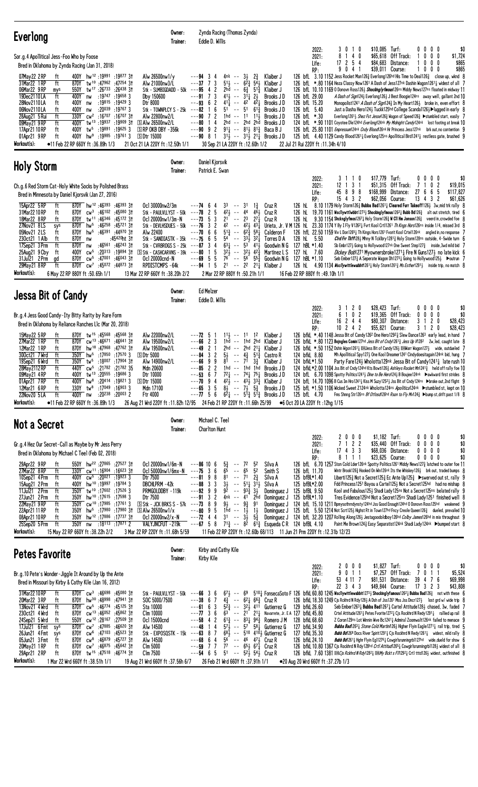| <b>Everlong</b>                                                                                                                                                                                                                                                                                                                                                                                                                                                                                                                                                                                                                                                                                                                                                                                                                                      | Owner:<br>Trainer:                                                                                                                                                                                                                                                                                                 | Zynda Racing (Thomas Zynda)<br>Eddie D. Willis                                                                                                                                                                                                                                                                                                                                                                  |                                                                                                                                                                                                                                                                                                                                                                                |                                                                                                                                                                                      |                                                                                                                                                                                                                                                                                                                                                                                                                                                                                                                                                                                                                                                                                                                                                                                                                                                                                                                                                                                 |                                                                                                                                                                                                                                                                                        |         |                                                                                                                                                                                                                                                                                                                                                                                                                                                                                                                                                                                                                                                                                                                                                              |              |                                                                     |                                          |
|------------------------------------------------------------------------------------------------------------------------------------------------------------------------------------------------------------------------------------------------------------------------------------------------------------------------------------------------------------------------------------------------------------------------------------------------------------------------------------------------------------------------------------------------------------------------------------------------------------------------------------------------------------------------------------------------------------------------------------------------------------------------------------------------------------------------------------------------------|--------------------------------------------------------------------------------------------------------------------------------------------------------------------------------------------------------------------------------------------------------------------------------------------------------------------|-----------------------------------------------------------------------------------------------------------------------------------------------------------------------------------------------------------------------------------------------------------------------------------------------------------------------------------------------------------------------------------------------------------------|--------------------------------------------------------------------------------------------------------------------------------------------------------------------------------------------------------------------------------------------------------------------------------------------------------------------------------------------------------------------------------|--------------------------------------------------------------------------------------------------------------------------------------------------------------------------------------|---------------------------------------------------------------------------------------------------------------------------------------------------------------------------------------------------------------------------------------------------------------------------------------------------------------------------------------------------------------------------------------------------------------------------------------------------------------------------------------------------------------------------------------------------------------------------------------------------------------------------------------------------------------------------------------------------------------------------------------------------------------------------------------------------------------------------------------------------------------------------------------------------------------------------------------------------------------------------------|----------------------------------------------------------------------------------------------------------------------------------------------------------------------------------------------------------------------------------------------------------------------------------------|---------|--------------------------------------------------------------------------------------------------------------------------------------------------------------------------------------------------------------------------------------------------------------------------------------------------------------------------------------------------------------------------------------------------------------------------------------------------------------------------------------------------------------------------------------------------------------------------------------------------------------------------------------------------------------------------------------------------------------------------------------------------------------|--------------|---------------------------------------------------------------------|------------------------------------------|
| Sor.g.4 Apollitical Jess-Foo Who by Foose<br>Bred in Oklahoma by Zynda Racing (Jan 31, 2018)<br>07May22 2RP<br>400Y hw <sup>12</sup> :19991:19877 31<br>ft<br>31Mar22 1 RP<br>ft<br>870Y tw <sup>10</sup> :47962:4725431<br>06Mar22 9RP<br>tw <sup>17</sup> :26 <sup>733</sup><br>:26438 31<br>550Y<br>mys<br>:19747 :19658 3<br>19Dec2110LA<br>400Y<br>ft<br>nw<br>400Y<br>:19815<br>:19429 3<br>28Nov2110LA<br>ft<br>nw<br>06Nov2110LA<br>:20039<br>:19767 3<br>ft<br>400Y<br>nw<br>$\sqrt{C}$ cw <sup>2</sup> :16707 :16707 31<br>28Aug21 5 Rui<br>ft<br>330Y<br>09May21 9RP<br>400Y<br>tw <sup>13</sup> :19937:19909 3t<br>ft<br>17Apr21 10 RP<br>ft<br>400Y<br>tw <sup>5</sup> :19891 :19625 3<br>hw <sup>9</sup> :19985 :19761 3<br>ft<br>400Y<br>01Apr21 9RP<br>Workout(s):<br>•11 Feb 22 RP 660Y ft:36.89h 1/3                               | Alw 26500nw1/y<br>Alw 21000nw3/L<br>Stk - SLMBIGDADD - 50k $--$ -95 4<br>Dby 150600<br>Dtr 8000<br>Stk - TOWNPLCY S - 25 $k$ ---82<br>Alw 22800nw2/L<br>S Alw 26500nw2/L<br>$S$ RP OKB DBY $-356k$<br><b>SDtr 15000</b><br>21 Oct 21 LA 220Y ft: 12.50h 1/1                                                        | 4nk -- $3\frac{1}{2}$<br>---94<br>- 3<br>-4<br>$---37$ 7<br>3<br>$\overline{c}$<br>$---91$ 7 3<br>$---93$ 6 2<br>6<br>$51 - -51$<br>$---90$ 7 2<br>$---80$ 14<br>$---90 \t 9 \t 2$<br>$---90$ 8 1<br>30 Sep 21 LA 220Y ft: 12.60h 1/2                                                                                                                                                                           | $2\frac{3}{4}$<br>$51\frac{1}{2}$ -- $6\overline{2}$ $\frac{3}{4}$ $54\frac{1}{2}$<br>2hd -- $6\frac{3}{4}$ 51 <sup>3</sup> / <sub>2</sub><br>$41\frac{1}{2}$ -- $31\frac{1}{4}$ $2\frac{1}{2}$<br>$41\overline{4}$ -- $42\overline{4}$ $42\overline{4}$<br>613<br>$1hd - 11$ $11\frac{1}{2}$<br>2hd -- 2hd 2hd<br>$91\frac{1}{2}$ -- $81\frac{1}{2}$ $81\frac{3}{2}$ Baca B J | Klaiber J<br>Klaiber J<br>Klaiber J<br>Brooks JD<br>Brooks JD<br>Brooks JD<br>Brooks JD<br>Brooks J D<br>$3^{11}$ -- $3^{11}$ $2^{11}$ Brooks JD                                     | 2022:<br>2021:<br>Life:<br>RP:<br>126 bfL 3.10 1152 Jess Rocket Man126 $\frac{3}{4}$ Everlong126hd His Time to Dea1126 $\frac{3}{4}$ close up, wknd 8<br>126 bfL *.80 1164 Heza Classy Now1261 A Dash of Jess127nk Dashin Wagon12611 widest of all 7<br>126 bfl 10.10 1169 0 Donovn Ross1263 Shockingly fmous126ns Middy News127ns floated in midway 11<br>126 bfL 29.00<br>126 bfL 15.20<br>126 bfL 5.40<br>126 bfL *.30<br>124 bfL *.90 1101 Coyotee Dle124hd Everlong124nk My Midnight Candy124nk lost footing at break 10<br>126 bfl. 25.80 1101 Empressum124nk Cndy Blood126nk Hr Princess Jess127nk brk out, no contention 9<br>125 bfl. 4.40 1129 Candy Blood1261 <sub>4</sub> Everlong125ns Apollitical Bird1241 <sub>4</sub> restless gate, brushed 9<br>22 Jul 21 Rui 220Y ft : 11.34h 4/10                                                                                                                                                                           | 3010<br>8<br>17 2 5 4<br>9 0 4 1                                                                                                                                                                                                                                                       | $140$   | \$10,085 Turf:<br>\$65,618 Off Track:<br>\$84,683 Distance:<br>\$39,011 Course:<br>A Dash of Sign1243 Everlong1263 J Best Boogie124ns away well, gallant 2nd 10<br>Monopolist1241 A Dash of Sign1243 In My Heart1263 broke in, even effort 8<br>Just a Dasha Hero1244 Tuckk125hd College Scanda11264 Dlugged in early 8<br>Everlong 1261 <sub>2</sub> Shez Fst Jesse126 <sub>2</sub> Wagon of Speed126 <sub>2</sub> $\blacktriangleright$ stumbled start, easily 7                                                                                                                                                                                                                                                                                           | 1            | $0\ 0\ 0\ 0$<br>$0\ 0\ 0$<br>$0\,$ $0\,$ $0\,$<br>1000              | \$0<br>\$1,724<br>\$865<br>\$865         |
| <b>Holy Storm</b>                                                                                                                                                                                                                                                                                                                                                                                                                                                                                                                                                                                                                                                                                                                                                                                                                                    | Owner:<br>Trainer:                                                                                                                                                                                                                                                                                                 | Daniel Kjorsvik<br>Patrick E. Swan                                                                                                                                                                                                                                                                                                                                                                              |                                                                                                                                                                                                                                                                                                                                                                                |                                                                                                                                                                                      |                                                                                                                                                                                                                                                                                                                                                                                                                                                                                                                                                                                                                                                                                                                                                                                                                                                                                                                                                                                 |                                                                                                                                                                                                                                                                                        |         |                                                                                                                                                                                                                                                                                                                                                                                                                                                                                                                                                                                                                                                                                                                                                              |              |                                                                     |                                          |
| Ch.g.6 Red Storm Cat-Holy White Socks by Polished Brass<br>Bred in Minnesota by Daniel Kjorsvik (Jan 27, 2016)<br>15Apr22 5 RP<br>870Y hw <sup>12</sup> :46393 :46393 31<br>ft<br>31Mar 22 10 RP<br>870Y<br>$cw^3$ :46102 :45080 31<br>ft<br>18Mar22 8 RP<br>870Y tw <sup>11</sup> :46346 :45172 3t<br>ft<br>27Nov21 8LS<br>hw <sup>5</sup> :46258<br>:45721 31<br>sys<br>870Y<br>hw <sup>5</sup> :46 <sup>391</sup> :44970 31<br>870Y<br>05Nov21 2LS<br>ft<br>870Y<br>:45420ht 3†<br>230ct21 1 Alb<br>ft<br>nw<br>17Sep21 3 Prm<br>ft<br>870Y<br>:46561 :46243 31<br>nw<br>:20313 :19894 31<br>400Y<br>$CW^5$<br>25Aug21 9 Cby<br>ft<br>31Jul21 2 Prm<br>$CW^5$<br>:47001 :46043 31<br>870Y<br>gd<br>29May21 8RP<br>ft<br>870Y cw <sup>7</sup> :45072 :44873 31<br>Workout(s):<br>6 May 22 RP 880Y ft: 50.65h 1/1                                   | Ocl 30000nw2/3m<br>Stk - PAULVLLYST - $50k$ --- <b>78</b> 2<br>Ocl 20000nw1/3m-N<br>Stk - DEVLHSDUES - 50k $--76$ 3 2<br>Alw 22400<br>Stk - SANDIASTK - $35k$ --- $75$ 6<br>Stk - CVRBRDGS S - 25 $k$ ---87 3<br>S Stk - CASHCARVNS - 39k<br>Ocl 20000cnd-N<br>RPDISTCMPS -64k<br>13 Mar 22 RP 660Y ft :38.20h 2/2 | 33<br>$---74$ 6<br>-- 31<br>-4<br>$42\frac{1}{2}$<br>5<br>$\sim$ $-$<br>$---73$ 5 3<br>$21^{-}$ -- 23<br>6<br>$---706$<br>-5<br>$\overline{4}$<br>$32\frac{1}{2}$<br>5<br>$---80$ 1<br>$76^- - 56^-$<br>$---69.5$<br>5<br>$--94$ 1 5<br>2 Mar 22 RP 880Y ft: 50.21h 1/1                                                                                                                                         | $1\frac{3}{4}$<br>44<br>461<br>$27\frac{1}{4}$<br>$42 - 42\frac{1}{2}43\frac{1}{4}$<br>$5^{13}$ -- $6^{23}$ $5^{81}$<br>$54^{\degree}$ -- $33\frac{1}{2}$ $32\frac{1}{4}$<br>$63\frac{1}{4}$ -- 53 411<br>$--$ 32 $\frac{1}{2}$ 42 $\frac{3}{4}$<br>553<br>21 -- 22 211 Klaiber J                                                                                              | Cruz R<br>Cruz R<br>Cruz R<br>Calderon F<br>Torres D A<br>Goodwin N G<br>Martinez L S<br>Goodwin N G                                                                                 | 2022:<br>2021:<br>Life:<br>RP:<br>126 hL<br>126 hL 19.70 1161 Wscllywttlwbbt12731 Shockinglyfmous12621 Bubb Bd1263 alt out stretch, tired 6<br>126 hL<br>Urieta. Jr. V M 126 hl. 23.30 1174 Y By I Fly V126 <sup>2</sup> Lert Kool Crt1126 <sup>1</sup> Th Kngs Hors126 <sup>ns</sup> inside 1/4, missed 3rd 8<br>126 hfl. 22.50 1159 Viv L Don12654 Th Kings Hors1261 Fvorit Kool Crtel126nk angled in, no response 7<br>128 hL 5.50<br>127 hBL *1.40<br>127 hL 7.60<br>127 hBL *1.10<br>126 hL 4.90 1134 <i>Wscllywittlewabbit</i> 1261 <sup>1</sup> / <sub>4</sub> Holy Storm1261 <sup>3</sup> / <sub>4</sub> Ms Esther1291 <sup>1</sup> / <sub>2</sub> inside trip, no match 8<br>16 Feb 22 RP 880Y ft:49.10h 1/1                                                                                                                                                                                                                                                           | 3 1 1 0<br>$12$ 1 3 1<br>45 8 9 8<br>15 4 3 2<br>$8.10$ 1179 Holy Storm1263 <b>Bubba Bad1</b> 2611 Cleared Furr Takeoff1261 3w, mid trk rally 8<br>$9.30$ $1154$ Shcknglyfmos1267 $\frac{1}{4}$ Holy Storm126 $\frac{3}{4}$ W C11 Hm Jonson126 $\frac{3}{4}$ veerd in, crowded foe $8$ |         | \$17,779 Turf:<br>\$51,315 Off Track:<br>\$168,999 Distance:<br>\$62,056 Course:<br>Cird Frr Tkffl281 Mhny N Tcklbry12813 Holy Storm128ns outside, 4-5wide turn 6<br>Sb Embr127 $\frac{1}{2}$ Going to Hollywood127nk One Sweet Step127 $\frac{3}{4}$ inside, 3wd mild bid 7<br><i>Dickey Bob</i> 1271 Myownersbroke1271 <sub>4</sub> Fire N Guns1273 no late kick 6<br>Seb Ember127 $\frac{3}{4}$ A Seperate Wagon Dh1273 $\frac{1}{4}$ Going to Hollywood125 $\frac{1}{2}$ $\blacktriangleright$ outrun 7                                                                                                                                                                                                                                                  | 7<br>27      | $0\,0\,0\,0$<br>0 <sub>2</sub><br>-1<br>66<br>5<br>$13 \t4 \t3 \t2$ | \$0<br>\$19,015<br>\$117,827<br>\$61,626 |
| <b>Jessa Bit of Candy</b>                                                                                                                                                                                                                                                                                                                                                                                                                                                                                                                                                                                                                                                                                                                                                                                                                            | Owner:<br>Trainer:                                                                                                                                                                                                                                                                                                 | <b>Ed Melzer</b><br>Eddie D. Willis                                                                                                                                                                                                                                                                                                                                                                             |                                                                                                                                                                                                                                                                                                                                                                                |                                                                                                                                                                                      |                                                                                                                                                                                                                                                                                                                                                                                                                                                                                                                                                                                                                                                                                                                                                                                                                                                                                                                                                                                 |                                                                                                                                                                                                                                                                                        |         |                                                                                                                                                                                                                                                                                                                                                                                                                                                                                                                                                                                                                                                                                                                                                              |              |                                                                     |                                          |
| Br.g.4 Jess Good Candy-Ity Bitty Rarity by Rare Form<br>Bred in Oklahoma by Reliance Ranches L1c (Mar 20, 2018)<br>15May22 5 RP<br>870Y tw <sup>15</sup> :45568:4556831<br>ft<br>870Y Cw <sup>13</sup> :46671:4664131<br>27Mar22 1 RP<br>ft<br>hw <sup>18</sup> :47968:4776231<br>12Mar22 1 RP<br>870Y<br>ft<br>300ct21 7 Wrd<br>ft<br>350Y hw <sup>5</sup> :17850 :17570 3<br>tw <sup>5</sup> :18 <sup>007</sup> :17904 3†<br>19Sep21 6 Wrd<br>ft<br>350Y<br>ft<br>440Y cw <sup>5</sup> :21782 :21782 35<br>28May 2112 RP<br>400Y tw <sup>13</sup> :20555 :19686 3<br>09May21 4RP<br>ft<br>ft<br>400Y hw <sup>8</sup> :20414 :19821 3<br>01Apr21 7RP<br>330Y tw <sup>8</sup> :17049 :16903 3<br>12Mar21 6RP<br>ft<br>:20 <sup>238</sup> :20 <sup>003</sup> 2<br>22Nov20 5LA<br>ft<br>400Y nw<br>Workout(s):<br>•11 Feb 22 RP 660Y ft:36.89h 1/3     | Alw 22000nw2/L<br>Alw 19500nw2/L<br>Alw 19500nw2/L<br><b>50tr 5000</b><br>Alw 14900nw2/L<br>Mdn 20600<br>Dtr 10000<br><b>SDtr 15000</b><br>Mdn 17100<br>Ftr 4000<br>26 Aug 21 Wrd 220Y ft: 11.82h 12/95 24 Feb 21 RP 220Y ft: 11.66h 25/99                                                                         | $---72 \quad 5$<br>$---6623$<br>2 <sub>1</sub><br>---49<br>$---84$ 3 2<br>$5\frac{1}{2}$<br>$---6699$<br>$81 - 71$<br>$---85$ 2 2<br>$---53$ 6 7 $7^2\frac{1}{4}$ $--- 7^4\frac{1}{4}$ $7^5\frac{1}{4}$ Brooks JD<br>$---70$ 9 4 $4^{2}$ $ 4^{3}$ $3^{3}$ Klaiber J<br>$---65$ 3 5<br>$---77.56$                                                                                                                | $11\frac{1}{2}$ -- $11$ 12<br>1hd -- 1hd 2hd Klaiber J<br>2hd $--$ 2hd 21 $\frac{1}{4}$ Klaiber J<br>$- - 4\frac{3}{4}$ 51 $\frac{3}{4}$<br>$3\frac{3}{4}$<br>$8\frac{1}{2}$ -- $7\frac{1}{2}$ $5\frac{3}{4}$                                                                                                                                                                  | Klaiber J<br>Castro R<br>Klaiber J<br>1hd -- 1hd 1hd Brooks JD<br>Brooks J D<br>$6\overline{2}$ <sub>4</sub> -- $5\overline{1}$ <sub>3</sub> $5\overline{1}$ <sub>3</sub> Brooks J D | 2022:<br>2021:<br>Life:<br>RP:<br>126 bfkl. *.40 1148 Jessa Bit of Candy126 <sup>2</sup> One Hero129 <sup>2</sup> Slew Dance126 <sup>3</sup> early lead, in hand 7<br>126 bfkl. *.80 1123 Bojngles Comin127hd Jess Bit of Cndy12613 Jess Up V1282 2w, led, caught late 8<br>126 bfkL *.50 1152 Dshin Wgon1261 <sub>4</sub> DELJess Bit of Candy126 <sub>3</sub> DEIWarr Wagon127 <sub>3</sub> wide, outdueled 7<br>124 bfkL 8.80<br>124 bfkL*1.50<br>124 bfkL *2.00 1104 Jss Bit of Cndy124hd Kts Bowti1263 Ashleys Rocket Mn12413 held off rally foe 10<br>124 bfl 6.70 1098 Spotty Politics 1241 <i>L Dine to Be Hero</i> 124 <i>L</i> B Boujee 124 <sup>nk</sup> > awkward first strides 8<br>124 bfl. 14.70 1096 B Cus Im Hro1241 <sup>1</sup> Kiss M Suzy125 <sup>21</sup> Jss Bit of Cndy124ns >broke out, 2nd flight 9<br>125 bfL *1.50 1106 Wicked Sweet Z124nk Wholotta124ns Apolitica124nk >stumbled st, kept on 10<br>125 bfL 4.70<br>●6 Oct 20 LA 220Y ft:12hg 1/15 | 3 1 2 0<br>16244<br>$10 \t2 \t4 \t2$                                                                                                                                                                                                                                                   | 6 1 0 2 | \$28,423 Turf:<br>\$19,365 Off Track:<br>\$80,307 Distance:<br>\$55,821 Course:<br>Mh Apollitical Spy1273 One Kool Dreamer1241 Cindydoesitagain124nk bid, hung 7<br>Party Fare1243 Wholotta129nk Jessa Bit of Candy12413 late rush 10<br>Fms Shnng Str126ns Bf Otfosd126hd Rson to Fly Mv1243 ▶bump st, drift past 1/8 8                                                                                                                                                                                                                                                                                                                                                                                                                                     | $\mathbf{0}$ | 0000<br>$0\,0\,0$<br>3 1<br>20<br>3 1 2<br>0                        | \$0<br>\$0<br>\$28,423<br>\$28,423       |
| <b>Not a Secret</b>                                                                                                                                                                                                                                                                                                                                                                                                                                                                                                                                                                                                                                                                                                                                                                                                                                  | Owner:<br>Trainer:                                                                                                                                                                                                                                                                                                 | Michael C. Teel<br><b>Charlton Hunt</b>                                                                                                                                                                                                                                                                                                                                                                         |                                                                                                                                                                                                                                                                                                                                                                                |                                                                                                                                                                                      |                                                                                                                                                                                                                                                                                                                                                                                                                                                                                                                                                                                                                                                                                                                                                                                                                                                                                                                                                                                 |                                                                                                                                                                                                                                                                                        |         |                                                                                                                                                                                                                                                                                                                                                                                                                                                                                                                                                                                                                                                                                                                                                              |              |                                                                     |                                          |
| Gr.g.4 Hez Our Secret-Call as Maybe by Mr Jess Perry<br>Bred in Oklahoma by Michael C Teel (Feb 02, 2018)<br>29Apr22 9RP<br>550Y hw <sup>22</sup> :27865 :27527 31<br>ft<br>330Y cw <sup>11</sup> :16904 :16623 31<br>27Mar22 8RP<br>ft<br>10Sep21 4 Prm<br>ft<br>cw <sup>5</sup> :20 <sup>021</sup> :19923 3<br>400Y<br>400Y hw <sup>10</sup> :19997 :19784 3<br>15Aug21 2 Prm<br>ft<br>11Jul21 2 Prm<br>350Y tw <sup>10</sup> :17602 :17526 3<br>ft<br>27Jun21 2 Prm<br>350Y hw <sup>10</sup> :17615:175983<br>ft<br>22May21 9RP<br>ft<br>350Y cw <sup>10</sup> :17985 :17761 3<br>350Y<br>hw <sup>5</sup> :17980 :17980 3†<br>22Apr21 11 RP<br>ft<br>08Apr21 10 RP<br>hw <sup>12</sup> :17 <sup>886</sup> :17 <sup>737</sup> 31<br>ft<br>350Y<br>25Sep20 5Prm<br>ft<br>350Y nw :18113 :17871 2<br>Workout(s):<br>15 May 22 RP 660Y ft:38.22h 2/2  | Oc1 20000nw1/6m-N<br>Ocl 50000nw1/6mx-N $--75$ 3 6<br>Dtr 7500<br>DBCHLPRM-42k<br>PRMGOLDDBY-119k<br>Dtr 7500<br>$\boxed{5}$ Stk - JCK BRKS S - 57k --- <b>73</b> 8 9<br>$\boxdot$ Alw 26500nw1/x<br>Ocl 20000nw2/x-N<br>VALYJNCFUT -219k<br>3 Mar 22 RP 220Y ft: 11.68h 5/59                                      | $5\frac{3}{4}$<br>$---86$ 10 6<br>$\sim$ $-$<br>65<br>$\sim$ $-$<br>$---8198$<br>$81 - -71$<br>$---88$ 3 3<br>$---92999$<br>$---91 \quad 3 \quad 2$<br>$--80$ 9 5<br>1hd -- $1\frac{1}{2}$<br>$---72$ 4 4<br>$-$ ---67 5 8 71 <sup>3</sup> / <sub>4</sub> -- 8 <sup>2</sup> 61 <sup>3</sup> / <sub>4</sub> Esqueda C R 124 bfBL 4.10<br>11 Feb 22 RP 220Y ft :12.60b 68/113 11 Jun 21 Prm 220Y ft :12.31b 12/23 | 72<br>52<br>5 <sup>2</sup><br>65<br>$2\frac{3}{4}$<br>$3\frac{1}{2}$ -- $5^{1}\frac{1}{4}$ $3^{1}\frac{1}{2}$ Silva A<br>$9\bar{2}$ -- $93\frac{3}{4}$ $3\frac{1}{2}$<br>$9\frac{1}{2}$ -- $9\frac{3}{4}$ 91<br>$\frac{1}{2}$<br>$3^1$ -- $3^1\overline{)}$ $5^3\overline{)}$                                                                                                  | Silva A<br>Smith S<br>Silva A<br>4nk -- 41 2hd Dominguez J<br>Dominguez J<br>Dominguez J                                                                                             | 2022:<br>2021:<br>Life:<br>RP:<br>126 bfl 6.70 1257 Ston Cold Lder126nk Spotty Politics1261 Middy News1273 latched to outer foe 11<br>126 bfL 11.70<br>125 bfBL*1.40<br>125 bfBL*2.00<br>Dominguez J 125 bfBL 9.50<br>125 bfBL*1.10<br>124 bfL 15.10 1211 Bpmysothrndynsty124hd Jss Good Enough124hd 0 Donovn Ross125hd weakened 9<br>125 bfl. 5.50 1214 Not Scrt125½ Highst Rt in Town127hd Fncy Creole Queen126 $\frac{3}{4}$ dueled, prevailed 10<br>Dominguez J 124 bfl 32.20 1207 Rolling Along1263 Jestagoodoldboy126hd Colby James126hd in mix throughout 9                                                                                                                                                                                                                                                                                                                                                                                                              | 7 1 2 2<br>$17$ 4 3 3<br>8 1 1 1                                                                                                                                                                                                                                                       | 2000    | $$1,182$ Turf:<br>\$35,440 Off Track:<br>\$68,036 Distance:<br>\$23,625 Course:<br>Wintr Brook126 $\frac{3}{4}$ Hooked On Win126nk Its the Whiskey126 $\frac{1}{2}$ brk out, traded bumps 8<br>Liberti125 $\frac{3}{4}$ Not a Secret125 $\frac{3}{4}$ Ec Ante Up125 $\frac{3}{4}$ $\blacktriangleright$ swerved out st, rally 9<br>Fdd Princess1251 Bayou a Cartel125} Not a Secret125hd had no mishap 8<br>Kool and Fabulous125} Shadi Lady125ns Not a Secret125ns belated rally 9<br>Tres Evidence125hd Not a Secret125ns Shadi Lady1251 finished well 8<br>Paint Me Brown124 } Easy Separatist124nk Shadi Lady124nk ▶bumped start 8                                                                                                                       |              | 0000<br>$0\ 0\ 0\ 0$<br>$0\ 0\ 0\ 0$<br>$0\,0\,0\,0$                | \$0<br>\$0<br>\$0<br>\$0                 |
| <b>Petes Favorite</b>                                                                                                                                                                                                                                                                                                                                                                                                                                                                                                                                                                                                                                                                                                                                                                                                                                | Owner:<br>Trainer:                                                                                                                                                                                                                                                                                                 | Kirby and Cathy Kile<br>Kirby Kile                                                                                                                                                                                                                                                                                                                                                                              |                                                                                                                                                                                                                                                                                                                                                                                |                                                                                                                                                                                      |                                                                                                                                                                                                                                                                                                                                                                                                                                                                                                                                                                                                                                                                                                                                                                                                                                                                                                                                                                                 |                                                                                                                                                                                                                                                                                        |         |                                                                                                                                                                                                                                                                                                                                                                                                                                                                                                                                                                                                                                                                                                                                                              |              |                                                                     |                                          |
| Br.g. 10 Pete's Wonder-Jiggle It Around by Up the Ante<br>Bred in Missouri by Kirby & Cathy Kile (Jan 16, 2012)<br>31Mar22 10 RP<br>ft<br>$870Y$ cw <sup>3</sup> :46698 :45080 31<br>20Mar22 3RP<br>870Y hw <sup>30</sup> :48998:4794131<br>ft<br>13Nov21 4 Wrd<br>ft<br>870Y cw <sup>5</sup> :46774 :45125 31<br>230ct21 4 Wrd<br>870Y<br>cw <sup>13</sup> :46052<br>:45862 31<br>ft<br>cw <sup>12</sup> :28 <sup>167</sup> :27509 3t<br>550Y<br>24Sep21 5 Wrd<br>ft<br>17Jul21 6 Fmt<br>870Y cw <sup>7</sup> :47885 :46620 31<br>sys<br>$cw6$ :47103 :45523 31<br>26Jun21 4 Fmt<br>870Y<br>sys<br>870Y cw <sup>8</sup> :46879 :45727 31<br>05Jun21 3 Fmt<br>ft<br>870Y<br>cw <sup>7</sup> :46875 :45642 31<br>20May 21 1 RP<br>ft<br>870Y tw <sup>15</sup> :47518:46774 31<br>29Apr21 2RP<br>ft<br>Workout(s):<br>1 Mar 22 Wrd 660Y ft :38.51h 1/1 | Stk - PAULVLLYST - 50k $-$ - - 66 3 6<br>SOC 5000/7500<br>Sta 10000<br>Clm 10000<br>Ocl 15000cnd<br>Alw 14500<br>Stk - EXPOSQSTK - 15 $k$ ---63 8 7<br>Alw 14500<br>Clm 5000<br>Clm 7500<br>19 Aug 21 Wrd 660Y ft :37.56h 6/7                                                                                      | $---38$ 6 7 $4\frac{3}{4}$ $--- 62\frac{1}{4}$ 66 $\frac{3}{4}$ Cruz R<br>$---61 6 3$<br>$---77$ 3 6<br>$---58$ 4 2 $61\frac{3}{4}$ $-- 83\frac{1}{4}$ $94\frac{3}{4}$ Romero JM<br>$---48$ 14<br>$---68$ 64<br>$--59$ 7 7<br>$--54$ 6 5<br>26 Feb 21 Wrd 660Y ft :37.91h 1/1                                                                                                                                   | $5^6$ -- $4^6$ $4^7$ Cruz R<br>77 -- $65\frac{1}{2}$ $67\frac{1}{4}$ Cruz R<br>51 -- $5^2\frac{1}{2}$ 54 $\frac{1}{2}$ Cruz R                                                                                                                                                                                                                                                  | $5^{2}$ $\frac{3}{4}$ -- $3^{2}$ $\frac{1}{2}$ 411 Gutierrez G<br>$57\frac{1}{2}$ -- $57\frac{1}{2}$ 6utierrez G<br>$68\frac{1}{2}$ -- $510$ 410 $\frac{1}{2}$ Gutierrez G           | 2022:<br>2021:<br>Life:<br>RP:<br>$67\frac{1}{2}$ - 69 $510\frac{1}{4}$ FonsecaSoto F 126 bfkL 60.80 1245 Wscllywittlewabbit1273 $\frac{1}{2}$ Shockinglyfamous1262 $\frac{1}{4}$ Bubba Bad126 $\frac{3}{4}$ not with these 6<br>126 bfkL 18.30 1249 Cjs Rckhrd N Rdy 1283 A Dsh of Jss 1261 Mss Jss Dncr 1273 lost grd w/wide trip 8<br>129 bfkL 26.60<br>$63^{\circ}$ -- 21 <sup>2</sup> 21 <sub>4</sub> Navarrete, Jr. E A 127 bfkL 45.80<br>128 bfkL 68.60<br>127 bfkL 34.90<br>127 bfkL 35.30<br>126 bfkL 24.10<br>126 bfkL 10.80 1367 Cjs Rockhrd N Rdy 128hd Crtl Attitud 2651 Cowgirlsrunningrb11281 widest of all 8<br>126 bfkl 7.60 1381 EM C is Rckhrd N Rdy1282 EM My Bckt s FIN292 1 Crtl tttd1263 widest, outfinished 8<br>•20 Aug 20 Wrd 660Y ft:37.27b 1/3                                                                                                                                                                                                      | 2000<br>9 0 1 1<br>53 4 11 7<br>22 3 4 3                                                                                                                                                                                                                                               |         | \$1,827 Turf:<br>\$7,257 Off Track:<br>\$81,531 Distance:<br>\$49,844 Course:<br>Seb Ember12631 Bubba Bad12671 Cartel Attitude1281 chased, 3w, faded 7<br>Crtel Attitude1261 $\frac{1}{4}$ Petes Fvorite1272 $\frac{1}{4}$ Cjs Rockhrd N Redy1291 $\frac{1}{4}$ rallied up rail 8<br>Z Coron129ns Lot Winnin Wve Bc1241 <sub>4</sub> Admiral Zoomwalt126nk failed to menace 9<br><b>Bubba Bad1</b> 26 <sup>3</sup> $\frac{1}{4}$ Stone Cold Martin/1 26 $\frac{1}{2}$ Higher Flyin Eagle127 <sup>1</sup> $\frac{1}{4}$ rail trip, tired 5<br><b>Bubb Bd</b> 126 <sup>8</sup> Docs River Spirit1291 <sup>1</sup> C is Rockhrd N Redy1261 <sup>1</sup> widest, mild rally 8<br>Bubb Bd12611 Hghr Flyin Eg112761 Cowgirlsrunningrb1127hd wide, dueld for show 6 |              | $0\,0\,0\,0$<br>7011<br>39 4 7 6<br>17 3 2 3                        | \$0<br>\$5,524<br>\$69,998<br>\$43,808   |